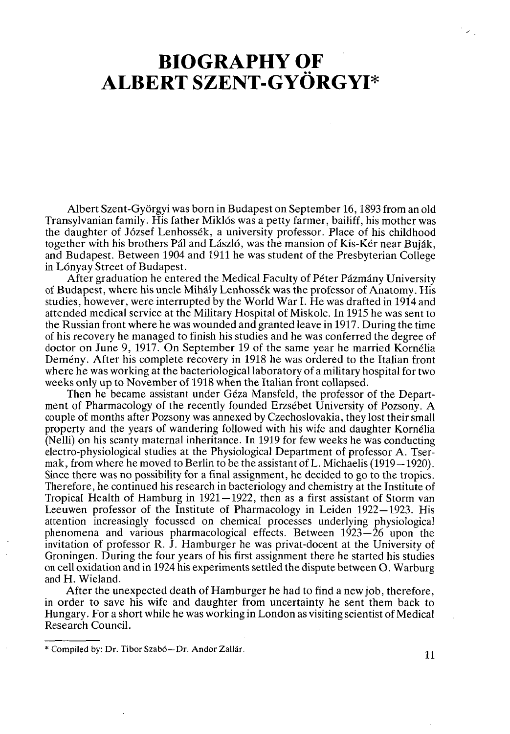## **BIOGRAPHY OF ALBERT SZENT-GYÖRGYI\***

Albert Szent-Györgyi was born in Budapest on September 16,1893 from an old Transylvanian family. His father Miklós was a petty farmer, bailiff, his mother was the daughter of József Lenhossék, a university professor. Place of his childhood together with his brothers Pál and László, was the mansion of Kis-Kér near Buják, and Budapest. Between 1904 and 1911 he was student of the Presbyterian College in Lónyay Street of Budapest.

After graduation he entered the Medical Faculty of Péter Pázmány University of Budapest, where his uncle Mihály Lenhossék was the professor of Anatomy. His studies, however, were interrupted by the World War I. He was drafted in 1914 and attended medical service at the Military Hospital of Miskolc. In 1915 he was sent to the Russian front where he was wounded and granted leave in 1917. During the time of his recovery he managed to finish his studies and he was conferred the degree of doctor on June 9, 1917. On September 19 of the same year he married Kornélia Demény. After his complete recovery in 1918 he was ordered to the Italian front where he was working at the bacteriological laboratory of a military hospital for two weeks only up to November of 1918 when the Italian front collapsed.

Then he became assistant under Géza Mansfeld, the professor of the Department of Pharmacology of the recently founded Erzsébet University of Pozsony. A couple of months after Pozsony was annexed by Czechoslovakia, they lost their small property and the years of wandering followed with his wife and daughter Kornélia (Nelli) on his scanty maternal inheritance. In 1919 for few weeks he was conducting electro-physiological studies at the Physiological Department of professor A. Tsermak, from where he moved to Berlin to be the assistant of L. Michaelis (1919—1920). Since there was no possibility for a final assignment, he decided to go to the tropics. Therefore, he continued his research in bacteriology and chemistry at the Institute of Tropical Health of Hamburg in 1921 —1922, then as a first assistant of Storm van Leeuwen professor of the Institute of Pharmacology in Leiden 1922—1923. His attention increasingly focussed on chemical processes underlying physiological phenomena and various pharmacological effects. Between  $1923 - 26$  upon the invitation of professor R. J. Hamburger he was privat-docent at the University of Groningen. During the four years of his first assignment there he started his studies on cell oxidation and in 1924 his experiments settled the dispute between O. Warburg and H. Wieland.

After the unexpected death of Hamburger he had to find a new job, therefore, in order to save his wife and daughter from uncertainty he sent them back to Hungary. For a short while he was working in London as visiting scientist of Medical Research Council.

 $\mathcal{P}_\mathrm{L}$ 

**<sup>\*</sup> Compiled by: Dr. Tibor Szabó—Dr. Andor Zallár. 11**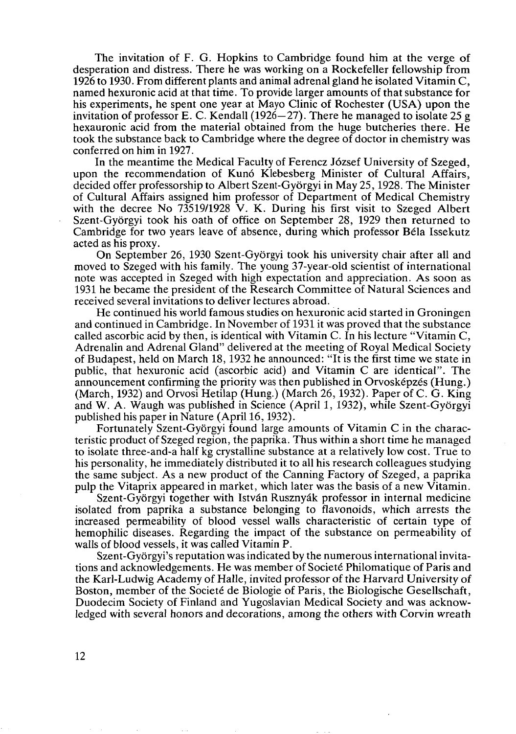The invitation of F. G. Hopkins to Cambridge found him at the verge of desperation and distress. There he was working on a Rockefeller fellowship from 1926 to 1930. From different plants and animal adrenal gland he isolated Vitamin C, named hexuronic acid at that time. To provide larger amounts of that substance for his experiments, he spent one year at Mayo Clinic of Rochester (USA) upon the invitation of professor E. C. Kendall  $(1926 - 27)$ . There he managed to isolate 25 g hexauronic acid from the material obtained from the huge butcheries there. He took the substance back to Cambridge where the degree of doctor in chemistry was conferred on him in 1927.

In the meantime the Medical Faculty of Ferencz József University of Szeged, upon the recommendation of Kunó Klebesberg Minister of Cultural Affairs, decided offer professorship to Albert Szent-Györgyi in May 25,1928. The Minister of Cultural Affairs assigned him professor of Department of Medical Chemistry with the decree No 73519/1928 V. K. During his first visit to Szeged Albert Szent-Györgyi took his oath of office on September 28, 1929 then returned to Cambridge for two years leave of absence, during which professor Béla Issekutz acted as his proxy.

On September 26, 1930 Szent-Györgyi took his university chair after all and moved to Szeged with his family. The young 37-year-old scientist of international note was accepted in Szeged with high expectation and appreciation. As soon as 1931 he became the president of the Research Committee of Natural Sciences and received several invitations to deliver lectures abroad.

He continued his world famous studies on hexuronic acid started in Groningen and continued in Cambridge. In November of 1931 it was proved that the substance called ascorbic acid by then, is identical with Vitamin C. In his lecture "Vitamin C, Adrenalin and Adrenal Gland" delivered at the meeting of Royal Medical Society of Budapest, held on March 18,1932 he announced: "It is the first time we state in public, that hexuronic acid (ascorbic acid) and Vitamin С are identical". The announcement confirming the priority was then published in Orvosképzés (Hung.) (March, 1932) and Orvosi Hetilap (Hung.) (March 26, 1932). Paper of C. G. King and W. A. Waugh was published in Science (April 1, 1932), while Szent-Györgyi published his paper in Nature (April 16,1932).

Fortunately Szent-Györgyi found large amounts of Vitamin С in the characteristic product of Szeged region, the paprika. Thus within a short time he managed to isolate three-and-a half kg crystalline substance at a relatively low cost. True to his personality, he immediately distributed it to all his research colleagues studying the same subject. As a new product of the Canning Factory of Szeged, a paprika pulp the Vitaprix appeared in market, which later was the basis of a new Vitamin.

Szent-Györgyi together with István Rusznyák professor in internal medicine isolated from paprika a substance belonging to flavonoids, which arrests the increased permeability of blood vessel walls characteristic of certain type of hemophilic diseases. Regarding the impact of the substance on permeability of walls of blood vessels, it was called Vitamin P.

Szent-Györgyi's reputation was indicated by the numerous international invitations and acknowledgements. He was member of Societé Philomatique of Paris and the Karl-Ludwig Academy of Halle, invited professor of the Harvard University of Boston, member of the Societé de Biologie of Paris, the Biologische Gesellschaft, Duodecim Society of Finland and Yugoslavian Medical Society and was acknowledged with several honors and decorations, among the others with Corvin wreath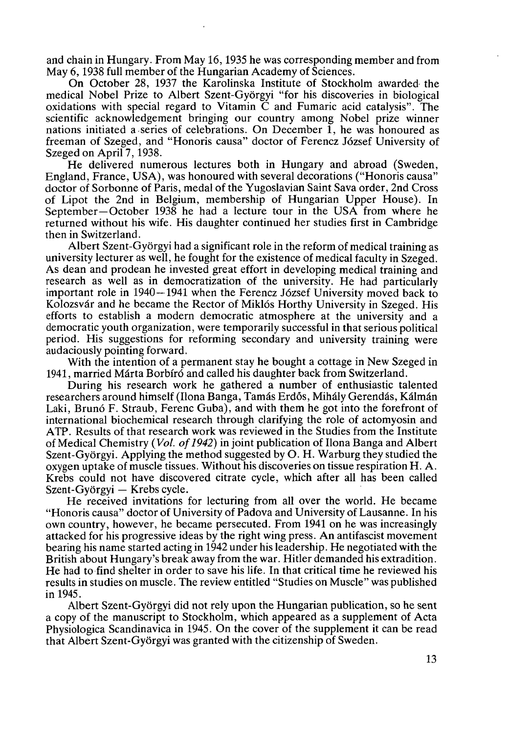and chain in Hungary. From May 16,1935 he was corresponding member and from May 6,1938 full member of the Hungarian Academy of Sciences.

On October 28, 1937 the Karolinska Institute of Stockholm awarded the medical Nobel Prize to Albert Szent-Györgyi "for his discoveries in biological oxidations with special regard to Vitamin С and Fumaric acid catalysis". The scientific acknowledgement bringing our country among Nobel prize winner nations initiated a series of celebrations. On December 1, he was honoured as freeman of Szeged, and "Honoris causa" doctor of Ferencz József University of Szeged on April 7, 1938.

He delivered numerous lectures both in Hungary and abroad (Sweden, England, France, USA), was honoured with several decorations ("Honoris causa" doctor of Sorbonne of Paris, medal of the Yugoslavian Saint Sava order, 2nd Cross of Lipot the 2nd in Belgium, membership of Hungarian Upper House). In September—October 1938 he had a lecture tour in the USA from where he returned without his wife. His daughter continued her studies first in Cambridge then in Switzerland.

Albert Szent-Györgyi had a significant role in the reform of medical training as university lecturer as well, he fought for the existence of medical faculty in Szeged. As dean and prodean he invested great effort in developing medical training and research as well as in democratization of the university. He had particularly important role in 1940—1941 when the Ferencz József University moved back to Kolozsvár and he became the Rector of Miklós Horthy University in Szeged. His efforts to establish a modern democratic atmosphere at the university and a democratic youth organization, were temporarily successful in that serious political period. His suggestions for reforming secondary and university training were audaciously pointing forward.

With the intention of a permanent stay he bought a cottage in New Szeged in 1941, married Márta Borbíró and called his daughter back from Switzerland.

During his research work he gathered a number of enthusiastic talented researchers around himself (Ilona Banga, Tamás Erdős, Mihály Gerendás, Kálmán Laki, Brunó F. Straub, Ferenc Guba), and with them he got into the forefront of international biochemical research through clarifying the role of actomyosin and ATP. Results of that research work was reviewed in the Studies from the Institute of Medical Chemistry ( *Vol. of1942)* in joint publication of Ilona Banga and Albert Szent-Györgyi. Applying the method suggested by О. H. Warburg they studied the oxygen uptake of muscle tissues. Without his discoveries on tissue respiration H.A. Krebs could not have discovered citrate cycle, which after all has been called Szent-Györgyi — Krebs cycle.

He received invitations for lecturing from all over the world. He became "Honoris causa" doctor of University of Padova and University of Lausanne. In his own country, however, he became persecuted. From 1941 on he was increasingly attacked for his progressive ideas by the right wing press. An antifascist movement bearing his name started acting in 1942 under his leadership. He negotiated with the British about Hungary's break away from the war. Hitler demanded his extradition. He had to find shelter in order to save his life. In that critical time he reviewed his results in studies on muscle. The review entitled "Studies on Muscle" was published in 1945.

Albert Szent-Györgyi did not rely upon the Hungarian publication, so he sent a copy of the manuscript to Stockholm, which appeared as a supplement of Acta Physiologica Scandinavica in 1945. On the cover of the supplement it can be read that Albert Szent-Györgyi was granted with the citizenship of Sweden.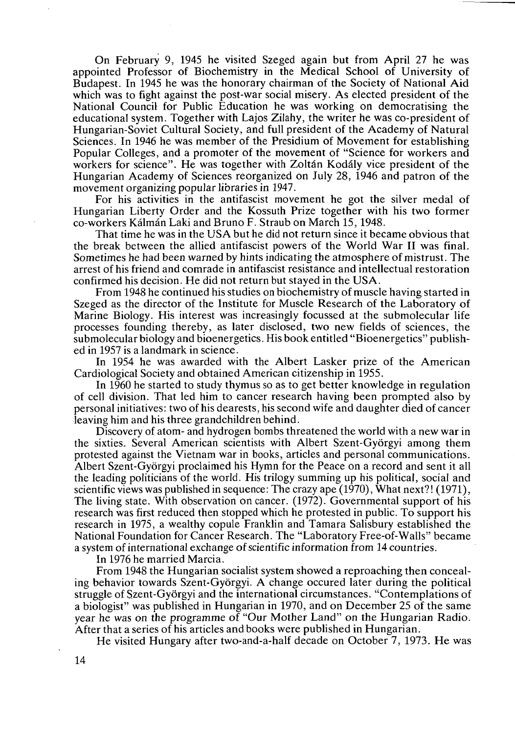On February 9, 1945 he visited Szeged again but from April 27 he was appointed Professor of Biochemistry in the Medical School of University of Budapest. In 1945 he was the honorary chairman of the Society of National Aid which was to fight against the post-war social misery. As elected president of the National Council for Public Education he was working on democratising the educational system. Together with Lajos Zilahy, the writer he was co-president of Hungarian-Soviet Cultural Society, and full president of the Academy of Natural Sciences. In 1946 he was member of the Presidium of Movement for establishing Popular Colleges, and a promoter of the movement of "Science for workers and workers for science". He was together with Zoltán Kodály vice president of the Hungarian Academy of Sciences reorganized on July 28, 1946 and patron of the movement organizing popular libraries in 1947.

For his activities in the antifascist movement he got the silver medal of Hungarian Liberty Order and the Kossuth Prize together with his two former co-workers Kálmán Laki and Bruno F. Straub on March 15,1948.

That time he was in the USA but he did not return since it became obvious that the break between the allied antifascist powers of the World War II was final. Sometimes he had been warned by hints indicating the atmosphere of mistrust. The arrest of his friend and comrade in antifascist resistance and intellectual restoration confirmed his decision. He did not return but stayed in the USA.

From 1948 he continued his studies on biochemistry of muscle having started in Szeged as the director of the Institute for Muscle Research of the Laboratory of Marine Biology. His interest was increasingly focussed at the submolecular life processes founding thereby, as later disclosed, two new fields of sciences, the submolecular biology and bioenergetics. His book entitled "Bioenergetics" published in 1957 is a landmark in science.

In 1954 he was awarded with the Albert Lasker prize of the American Cardiological Society and obtained American citizenship in 1955.

In 1960 he started to study thymus so as to get better knowledge in regulation of cell division. That led him to cancer research having been prompted also by personal initiatives: two of his dearests, his second wife and daughter died of cancer leaving him and his three grandchildren behind.

Discovery of atom- and hydrogen bombs threatened the world with a new war in the sixties. Several American scientists with Albert Szent-Györgyi among them protested against the Vietnam war in books, articles and personal communications. Albert Szent-Györgyi proclaimed his Hymn for the Peace on a record and sent it all the leading politicians of the world. His trilogy summing up his political, social and scientific views was published in sequence: The crazy ape (1970), What next?! (1971), The living state. With observation on cancer. (1972). Governmental support of his research was first reduced then stopped which he protested in public. To support his research in 1975, a wealthy copule Franklin and Tamara Salisbury established the National Foundation for Cancer Research. The "Laboratory Free-of-Walls" became a system of international exchange of scientific information from 14 countries.

In 1976 he married Marcia.

From 1948 the Hungarian socialist system showed a reproaching then concealing behavior towards Szent-Györgyi. A change occured later during the political struggle of Szent-Györgyi and the international circumstances. "Contemplations of a biologist" was published in Hungarian in 1970, and on December 25 of the same year he was on the programme of "Our Mother Land" on the Hungarian Radio. After that a series of his articles and books were published in Hungarian.

He visited Hungary after two-and-a-half decade on October 7, 1973. He was